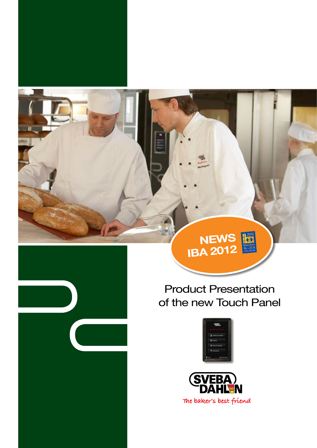

**NEWS**

**IBA 2012**



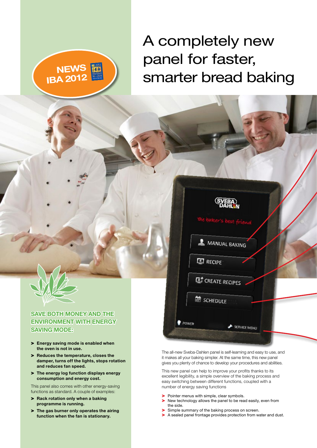# A completely new panel for faster, smarter bread baking



#### **Save both money and the environment with energy saving mode:**

**NEWS**

**IBA 2012**

- > **Energy saving mode is enabled when the oven is not in use.**
- > **Reduces the temperature, closes the damper, turns off the lights, stops rotation and reduces fan speed.**
- > **The energy log function displays energy consumption and energy cost.**

This panel also comes with other energy-saving functions as standard. A couple of examples:

- > **Rack rotation only when a baking programme is running.**
- > **The gas burner only operates the airing function when the fan is stationary.**

The all-new Sveba-Dahlen panel is self-learning and easy to use, and it makes all your baking simpler. At the same time, this new panel gives you plenty of chance to develop your procedures and abilities.

SERVICE MENU

MANUAL BAKING

**ET CREATE RECIPES** 

**图 RECIPE** 

<sup>的</sup> SCHEDULE

POWER

This new panel can help to improve your profits thanks to its excellent legibility, a simple overview of the baking process and easy switching between different functions, coupled with a number of energy saving functions

- > Pointer menus with simple, clear symbols.<br>
> New technology allows the panel to be rea
- New technology allows the panel to be read easily, even from the side.
- Simple summary of the baking process on screen.
- > A sealed panel frontage provides protection from water and dust.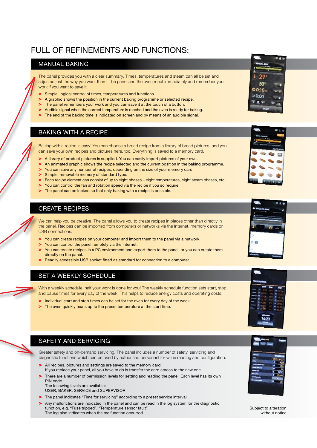### FULL OF REFINEMENTS AND FUNCTIONS:

#### MANUAL BAKING

The panel provides you with a clear summary. Times, temperatures and steam can all be set and adjusted just the way you want them. The panel and the oven react immediately and remember your work if you want to save it.

- Simple, logical control of times, temperatures and functions.
- A graphic shows the position in the current baking programme or selected recipe.
- The panel remembers your work and you can save it at the touch of a button.
- Audible signal when the correct temperature is reached and the oven is ready for baking.
- The end of the baking time is indicated on screen and by means of an audible signal.

#### BAKING WITH A RECIPE

Baking with a recipe is easy! You can choose a bread recipe from a library of bread pictures, and you can save your own recipes and pictures here, too. Everything is saved to a memory card.

- A library of product pictures is supplied. You can easily import pictures of your own.
- An animated graphic shows the recipe selected and the current position in the baking programme.
- > You can save any number of recipes, depending on the size of your memory card.
- Simple, removable memory of standard type.
- > Each recipe element can consist of up to eight phases eight temperatures, eight steam phases, etc.
- > You can control the fan and rotation speed via the recipe if you so require.
- > The panel can be locked so that only baking with a recipe is possible.

#### CREATE RECIPES

We can help you be creative! The panel allows you to create recipes in places other than directly in the panel. Recipes can be imported from computers or networks via the Internet, memory cards or USB connections.

- > You can create recipes on your computer and import them to the panel via a network.
- You can control the panel remotely via the Internet.
- > You can create recipes in a PC environment and export them to the panel, or you can create them directly on the panel.
- > Readily accessible USB socket fitted as standard for connection to a computer.

#### SET A WEEKLY SCHEDULE

With a weekly schedule, half your work is done for you! The weekly schedule function sets start, stop and pause times for every day of the week. This helps to reduce energy costs and operating costs.

- > Individual start and stop times can be set for the oven for every day of the week.
- > The oven quickly heats up to the preset temperature at the start time.

#### SAFETY AND SERVICING

Greater safety and on-demand servicing. The panel includes a number of safety, servicing and diagnostic functions which can be used by authorised personnel for value reading and configuration.

- > All recipes, pictures and settings are saved to the memory card. If you replace your panel, all you have to do is transfer the card across to the new one.
- There are a number of permission levels for setting and reading the panel. Each level has its own PIN code.
	- The following levels are available: USER, BAKER, SERVICE and SUPERVISOR
- > The panel indicates "Time for servicing" according to a preset service interval.
- > Any malfunctions are indicated in the panel and can be read in the log system for the diagnostic function, e.g. "Fuse tripped", "Temperature sensor fault". The log also indicates when the malfunction occurred.









Subject to alteration without notice